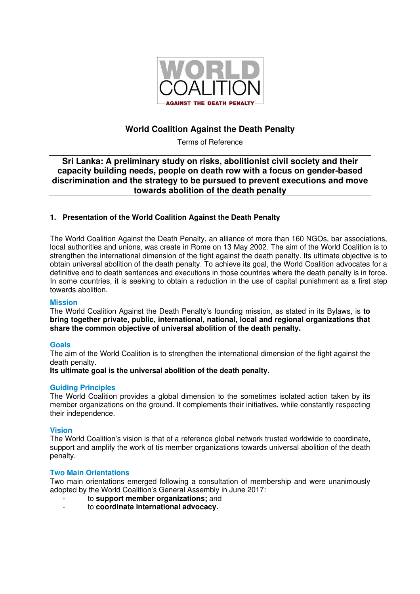

# **World Coalition Against the Death Penalty**

Terms of Reference

# **Sri Lanka: A preliminary study on risks, abolitionist civil society and their capacity building needs, people on death row with a focus on gender-based discrimination and the strategy to be pursued to prevent executions and move towards abolition of the death penalty**

### **1. Presentation of the World Coalition Against the Death Penalty**

The World Coalition Against the Death Penalty, an alliance of more than 160 NGOs, bar associations, local authorities and unions, was create in Rome on 13 May 2002. The aim of the World Coalition is to strengthen the international dimension of the fight against the death penalty. Its ultimate objective is to obtain universal abolition of the death penalty. To achieve its goal, the World Coalition advocates for a definitive end to death sentences and executions in those countries where the death penalty is in force. In some countries, it is seeking to obtain a reduction in the use of capital punishment as a first step towards abolition.

#### **Mission**

The World Coalition Against the Death Penalty's founding mission, as stated in its Bylaws, is **to bring together private, public, international, national, local and regional organizations that share the common objective of universal abolition of the death penalty.** 

#### **Goals**

The aim of the World Coalition is to strengthen the international dimension of the fight against the death penalty.

**Its ultimate goal is the universal abolition of the death penalty.**

#### **Guiding Principles**

The World Coalition provides a global dimension to the sometimes isolated action taken by its member organizations on the ground. It complements their initiatives, while constantly respecting their independence.

#### **Vision**

The World Coalition's vision is that of a reference global network trusted worldwide to coordinate, support and amplify the work of tis member organizations towards universal abolition of the death penalty.

#### **Two Main Orientations**

Two main orientations emerged following a consultation of membership and were unanimously adopted by the World Coalition's General Assembly in June 2017:

- to **support member organizations;** and
- to **coordinate international advocacy.**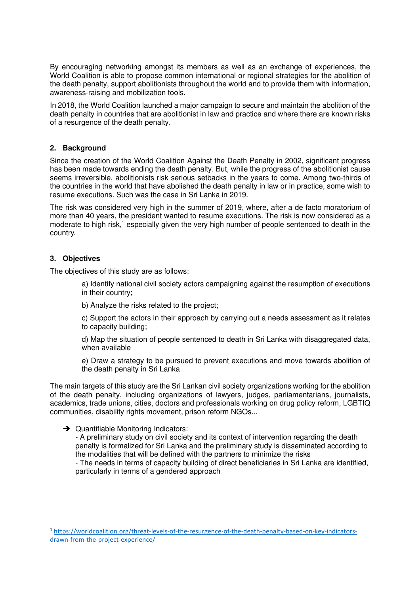By encouraging networking amongst its members as well as an exchange of experiences, the World Coalition is able to propose common international or regional strategies for the abolition of the death penalty, support abolitionists throughout the world and to provide them with information, awareness-raising and mobilization tools.

In 2018, the World Coalition launched a major campaign to secure and maintain the abolition of the death penalty in countries that are abolitionist in law and practice and where there are known risks of a resurgence of the death penalty.

### **2. Background**

Since the creation of the World Coalition Against the Death Penalty in 2002, significant progress has been made towards ending the death penalty. But, while the progress of the abolitionist cause seems irreversible, abolitionists risk serious setbacks in the years to come. Among two-thirds of the countries in the world that have abolished the death penalty in law or in practice, some wish to resume executions. Such was the case in Sri Lanka in 2019.

The risk was considered very high in the summer of 2019, where, after a de facto moratorium of more than 40 years, the president wanted to resume executions. The risk is now considered as a moderate to high risk,<sup>1</sup> especially given the very high number of people sentenced to death in the country.

### **3. Objectives**

The objectives of this study are as follows:

- a) Identify national civil society actors campaigning against the resumption of executions in their country;
- b) Analyze the risks related to the project;
- c) Support the actors in their approach by carrying out a needs assessment as it relates to capacity building;

d) Map the situation of people sentenced to death in Sri Lanka with disaggregated data, when available

e) Draw a strategy to be pursued to prevent executions and move towards abolition of the death penalty in Sri Lanka

The main targets of this study are the Sri Lankan civil society organizations working for the abolition of the death penalty, including organizations of lawyers, judges, parliamentarians, journalists, academics, trade unions, cities, doctors and professionals working on drug policy reform, LGBTIQ communities, disability rights movement, prison reform NGOs...

#### $\rightarrow$  Quantifiable Monitoring Indicators:

- A preliminary study on civil society and its context of intervention regarding the death penalty is formalized for Sri Lanka and the preliminary study is disseminated according to the modalities that will be defined with the partners to minimize the risks

- The needs in terms of capacity building of direct beneficiaries in Sri Lanka are identified, particularly in terms of a gendered approach

<sup>1</sup> https://worldcoalition.org/threat-levels-of-the-resurgence-of-the-death-penalty-based-on-key-indicatorsdrawn-from-the-project-experience/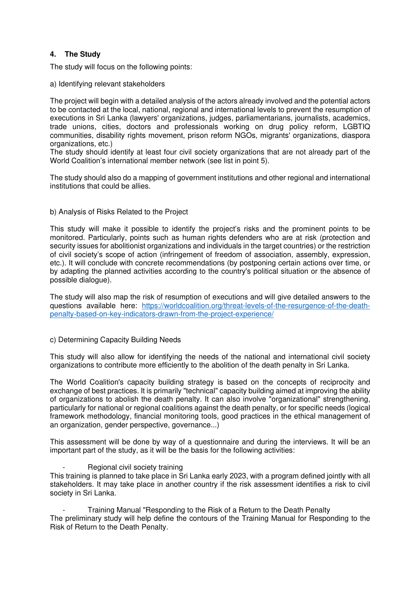## **4. The Study**

The study will focus on the following points:

a) Identifying relevant stakeholders

The project will begin with a detailed analysis of the actors already involved and the potential actors to be contacted at the local, national, regional and international levels to prevent the resumption of executions in Sri Lanka (lawyers' organizations, judges, parliamentarians, journalists, academics, trade unions, cities, doctors and professionals working on drug policy reform, LGBTIQ communities, disability rights movement, prison reform NGOs, migrants' organizations, diaspora organizations, etc.)

The study should identify at least four civil society organizations that are not already part of the World Coalition's international member network (see list in point 5).

The study should also do a mapping of government institutions and other regional and international institutions that could be allies.

b) Analysis of Risks Related to the Project

This study will make it possible to identify the project's risks and the prominent points to be monitored. Particularly, points such as human rights defenders who are at risk (protection and security issues for abolitionist organizations and individuals in the target countries) or the restriction of civil society's scope of action (infringement of freedom of association, assembly, expression, etc.). It will conclude with concrete recommendations (by postponing certain actions over time, or by adapting the planned activities according to the country's political situation or the absence of possible dialogue).

The study will also map the risk of resumption of executions and will give detailed answers to the questions available here: https://worldcoalition.org/threat-levels-of-the-resurgence-of-the-deathpenalty-based-on-key-indicators-drawn-from-the-project-experience/

#### c) Determining Capacity Building Needs

This study will also allow for identifying the needs of the national and international civil society organizations to contribute more efficiently to the abolition of the death penalty in Sri Lanka.

The World Coalition's capacity building strategy is based on the concepts of reciprocity and exchange of best practices. It is primarily "technical" capacity building aimed at improving the ability of organizations to abolish the death penalty. It can also involve "organizational" strengthening, particularly for national or regional coalitions against the death penalty, or for specific needs (logical framework methodology, financial monitoring tools, good practices in the ethical management of an organization, gender perspective, governance...)

This assessment will be done by way of a questionnaire and during the interviews. It will be an important part of the study, as it will be the basis for the following activities:

Regional civil society training

This training is planned to take place in Sri Lanka early 2023, with a program defined jointly with all stakeholders. It may take place in another country if the risk assessment identifies a risk to civil society in Sri Lanka.

- Training Manual "Responding to the Risk of a Return to the Death Penalty The preliminary study will help define the contours of the Training Manual for Responding to the Risk of Return to the Death Penalty.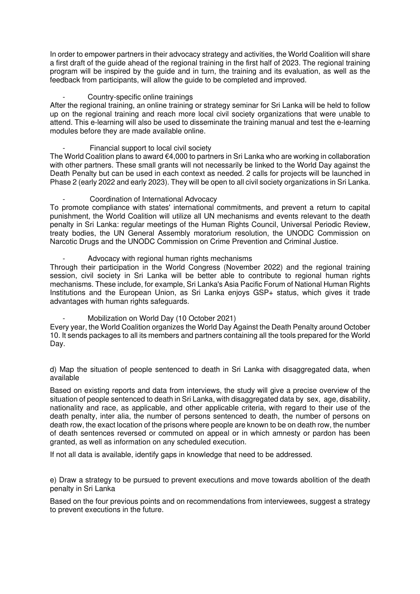In order to empower partners in their advocacy strategy and activities, the World Coalition will share a first draft of the guide ahead of the regional training in the first half of 2023. The regional training program will be inspired by the guide and in turn, the training and its evaluation, as well as the feedback from participants, will allow the guide to be completed and improved.

#### Country-specific online trainings

After the regional training, an online training or strategy seminar for Sri Lanka will be held to follow up on the regional training and reach more local civil society organizations that were unable to attend. This e-learning will also be used to disseminate the training manual and test the e-learning modules before they are made available online.

Financial support to local civil society

The World Coalition plans to award €4,000 to partners in Sri Lanka who are working in collaboration with other partners. These small grants will not necessarily be linked to the World Day against the Death Penalty but can be used in each context as needed. 2 calls for projects will be launched in Phase 2 (early 2022 and early 2023). They will be open to all civil society organizations in Sri Lanka.

- Coordination of International Advocacy

To promote compliance with states' international commitments, and prevent a return to capital punishment, the World Coalition will utilize all UN mechanisms and events relevant to the death penalty in Sri Lanka: regular meetings of the Human Rights Council, Universal Periodic Review, treaty bodies, the UN General Assembly moratorium resolution, the UNODC Commission on Narcotic Drugs and the UNODC Commission on Crime Prevention and Criminal Justice.

Advocacy with regional human rights mechanisms

Through their participation in the World Congress (November 2022) and the regional training session, civil society in Sri Lanka will be better able to contribute to regional human rights mechanisms. These include, for example, Sri Lanka's Asia Pacific Forum of National Human Rights Institutions and the European Union, as Sri Lanka enjoys GSP+ status, which gives it trade advantages with human rights safeguards.

Mobilization on World Day (10 October 2021)

Every year, the World Coalition organizes the World Day Against the Death Penalty around October 10. It sends packages to all its members and partners containing all the tools prepared for the World Day.

d) Map the situation of people sentenced to death in Sri Lanka with disaggregated data, when available

Based on existing reports and data from interviews, the study will give a precise overview of the situation of people sentenced to death in Sri Lanka, with disaggregated data by sex, age, disability, nationality and race, as applicable, and other applicable criteria, with regard to their use of the death penalty, inter alia, the number of persons sentenced to death, the number of persons on death row, the exact location of the prisons where people are known to be on death row, the number of death sentences reversed or commuted on appeal or in which amnesty or pardon has been granted, as well as information on any scheduled execution.

If not all data is available, identify gaps in knowledge that need to be addressed.

e) Draw a strategy to be pursued to prevent executions and move towards abolition of the death penalty in Sri Lanka

Based on the four previous points and on recommendations from interviewees, suggest a strategy to prevent executions in the future.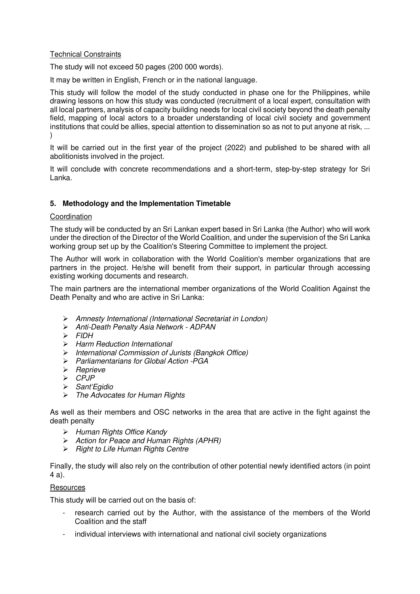### Technical Constraints

The study will not exceed 50 pages (200 000 words).

It may be written in English, French or in the national language.

This study will follow the model of the study conducted in phase one for the Philippines, while drawing lessons on how this study was conducted (recruitment of a local expert, consultation with all local partners, analysis of capacity building needs for local civil society beyond the death penalty field, mapping of local actors to a broader understanding of local civil society and government institutions that could be allies, special attention to dissemination so as not to put anyone at risk, ...  $\lambda$ 

It will be carried out in the first year of the project (2022) and published to be shared with all abolitionists involved in the project.

It will conclude with concrete recommendations and a short-term, step-by-step strategy for Sri Lanka.

# **5. Methodology and the Implementation Timetable**

### Coordination

The study will be conducted by an Sri Lankan expert based in Sri Lanka (the Author) who will work under the direction of the Director of the World Coalition, and under the supervision of the Sri Lanka working group set up by the Coalition's Steering Committee to implement the project.

The Author will work in collaboration with the World Coalition's member organizations that are partners in the project. He/she will benefit from their support, in particular through accessing existing working documents and research.

The main partners are the international member organizations of the World Coalition Against the Death Penalty and who are active in Sri Lanka:

- Amnesty International (International Secretariat in London)
- Anti-Death Penalty Asia Network ADPAN
- $\triangleright$  FIDH
- $\triangleright$  Harm Reduction International
- International Commission of Jurists (Bangkok Office)
- $\triangleright$  Parliamentarians for Global Action PGA
- $\triangleright$  Reprieve
- $\triangleright$  CPJP
- Sant'Egidio
- > The Advocates for Human Rights

As well as their members and OSC networks in the area that are active in the fight against the death penalty

- $\triangleright$  Human Rights Office Kandy
- Action for Peace and Human Rights (APHR)
- $\triangleright$  Right to Life Human Rights Centre

Finally, the study will also rely on the contribution of other potential newly identified actors (in point 4 a).

#### **Resources**

This study will be carried out on the basis of:

- research carried out by the Author, with the assistance of the members of the World Coalition and the staff
- individual interviews with international and national civil society organizations